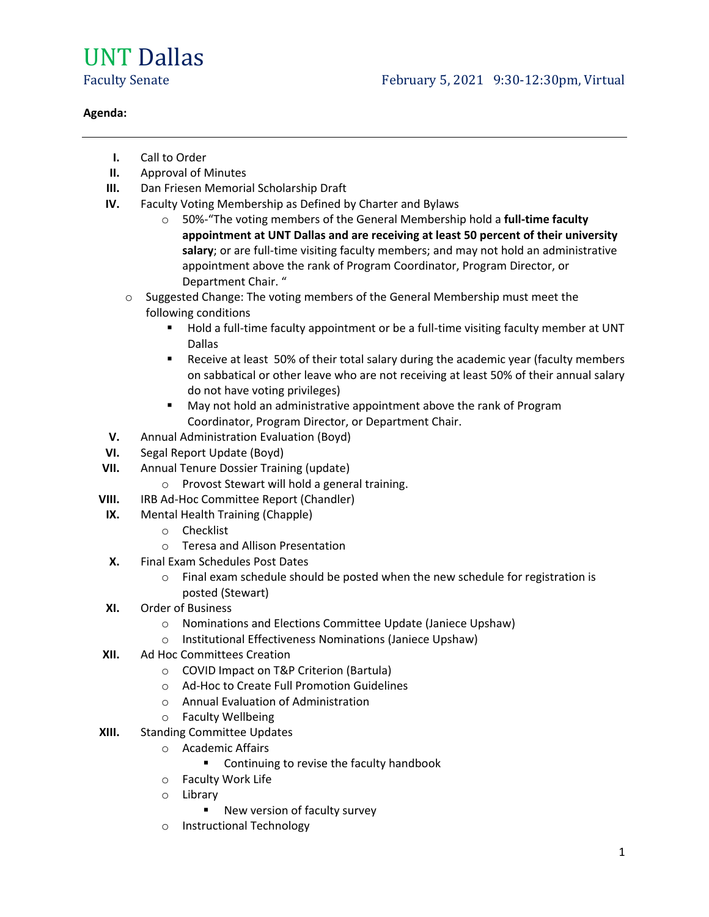## UNT Dallas

## **Agenda:**

- **I.** Call to Order
- **II.** Approval of Minutes
- **III.** Dan Friesen Memorial Scholarship Draft
- **IV.** Faculty Voting Membership as Defined by Charter and Bylaws
	- o 50%-"The voting members of the General Membership hold a **full-time faculty appointment at UNT Dallas and are receiving at least 50 percent of their university salary**; or are full-time visiting faculty members; and may not hold an administrative appointment above the rank of Program Coordinator, Program Director, or Department Chair. "
	- o Suggested Change: The voting members of the General Membership must meet the following conditions
		- Hold a full-time faculty appointment or be a full-time visiting faculty member at UNT Dallas
		- Receive at least 50% of their total salary during the academic year (faculty members on sabbatical or other leave who are not receiving at least 50% of their annual salary do not have voting privileges)
		- May not hold an administrative appointment above the rank of Program Coordinator, Program Director, or Department Chair.
- **V.** Annual Administration Evaluation (Boyd)
- **VI.** Segal Report Update (Boyd)
- **VII.** Annual Tenure Dossier Training (update)
	- o Provost Stewart will hold a general training.
- **VIII.** IRB Ad-Hoc Committee Report (Chandler)
- **IX.** Mental Health Training (Chapple)
	- o Checklist
	- o Teresa and Allison Presentation
- **X.** Final Exam Schedules Post Dates
	- o Final exam schedule should be posted when the new schedule for registration is posted (Stewart)
- **XI.** Order of Business
	- o Nominations and Elections Committee Update (Janiece Upshaw)
	- o Institutional Effectiveness Nominations (Janiece Upshaw)
- **XII.** Ad Hoc Committees Creation
	- o COVID Impact on T&P Criterion (Bartula)
	- o Ad-Hoc to Create Full Promotion Guidelines
	- o Annual Evaluation of Administration
	- o Faculty Wellbeing
- **XIII.** Standing Committee Updates
	- o Academic Affairs
		- Continuing to revise the faculty handbook
	- o Faculty Work Life
	- o Library
		- New version of faculty survey
	- o Instructional Technology